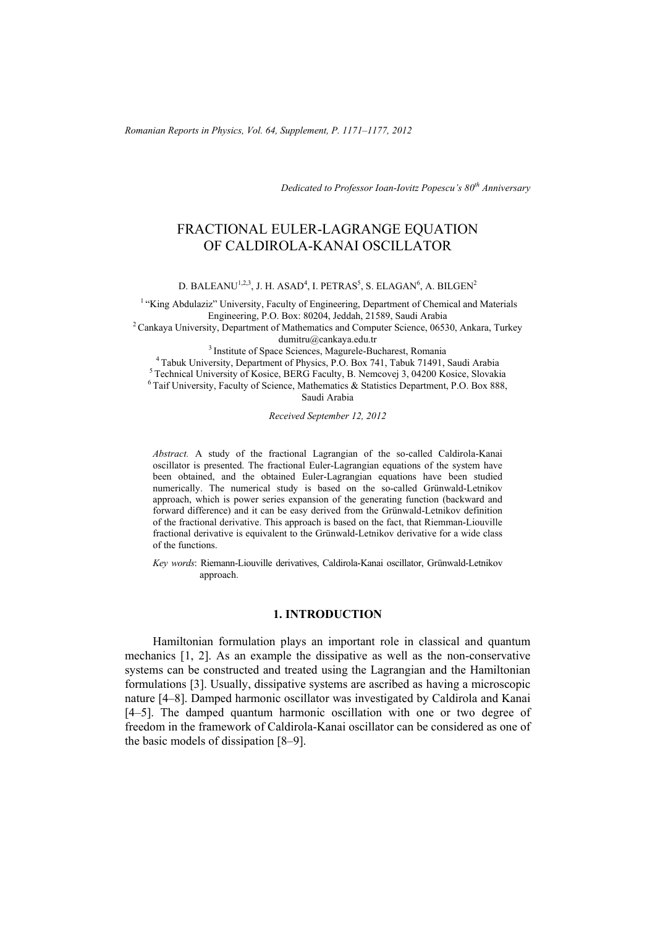*Romanian Reports in Physics, Vol. 64, Supplement, P. 1171–1177, 2012*

*Dedicated to Professor Ioan-Iovitz Popescu's 80th Anniversary*

# FRACTIONAL EULER-LAGRANGE EQUATION OF CALDIROLA-KANAI OSCILLATOR

D. BALEANU<sup>1,2,3</sup>, J. H. ASAD<sup>4</sup>, I. PETRAS<sup>5</sup>, S. ELAGAN<sup>6</sup>, A. BILGEN<sup>2</sup>

<sup>1</sup> "King Abdulaziz" University, Faculty of Engineering, Department of Chemical and Materials<br>Engineering, P.O. Box: 80204, Jeddah, 21589, Saudi Arabia

<sup>2</sup> Cankaya University, Department of Mathematics and Computer Science, 06530, Ankara, Turkey<br>dumitru@cankaya.edu.tr

<sup>3</sup> Institute of Space Sciences, Magurele-Bucharest, Romania<br><sup>4</sup> Tabuk University, Department of Physics, P.O. Box 741, Tabuk 71491, Saudi Arabia<br><sup>5</sup> Technical University of Kosice, BERG Faculty, B. Nemcovej 3, 04200 Kosi

Saudi Arabia

*Received September 12, 2012* 

*Abstract.* A study of the fractional Lagrangian of the so-called Caldirola-Kanai oscillator is presented. The fractional Euler-Lagrangian equations of the system have been obtained, and the obtained Euler-Lagrangian equations have been studied numerically. The numerical study is based on the so-called Grünwald-Letnikov approach, which is power series expansion of the generating function (backward and forward difference) and it can be easy derived from the Grünwald-Letnikov definition of the fractional derivative. This approach is based on the fact, that Riemman-Liouville fractional derivative is equivalent to the Grünwald-Letnikov derivative for a wide class of the functions.

*Key words*: Riemann-Liouville derivatives, Caldirola-Kanai oscillator, Grünwald-Letnikov approach.

#### **1. INTRODUCTION**

Hamiltonian formulation plays an important role in classical and quantum mechanics [1, 2]. As an example the dissipative as well as the non-conservative systems can be constructed and treated using the Lagrangian and the Hamiltonian formulations [3]. Usually, dissipative systems are ascribed as having a microscopic nature [4–8]. Damped harmonic oscillator was investigated by Caldirola and Kanai [4–5]. The damped quantum harmonic oscillation with one or two degree of freedom in the framework of Caldirola-Kanai oscillator can be considered as one of the basic models of dissipation [8–9].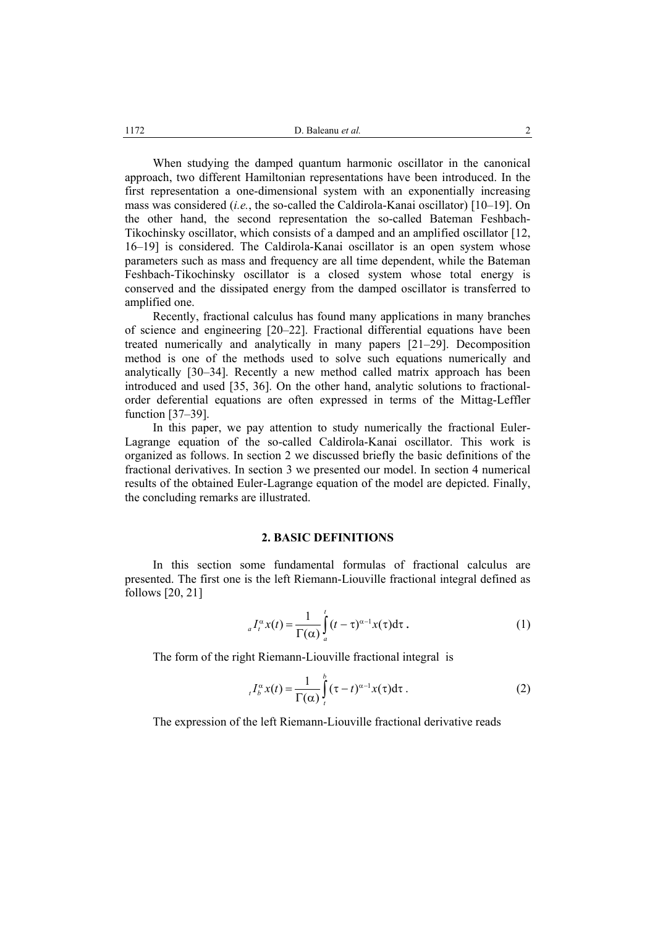When studying the damped quantum harmonic oscillator in the canonical approach, two different Hamiltonian representations have been introduced. In the first representation a one-dimensional system with an exponentially increasing mass was considered (*i.e.*, the so-called the Caldirola-Kanai oscillator) [10–19]. On the other hand, the second representation the so-called Bateman Feshbach-Tikochinsky oscillator, which consists of a damped and an amplified oscillator [12, 16–19] is considered. The Caldirola-Kanai oscillator is an open system whose parameters such as mass and frequency are all time dependent, while the Bateman Feshbach-Tikochinsky oscillator is a closed system whose total energy is conserved and the dissipated energy from the damped oscillator is transferred to amplified one.

Recently, fractional calculus has found many applications in many branches of science and engineering [20–22]. Fractional differential equations have been treated numerically and analytically in many papers [21–29]. Decomposition method is one of the methods used to solve such equations numerically and analytically [30–34]. Recently a new method called matrix approach has been introduced and used [35, 36]. On the other hand, analytic solutions to fractionalorder deferential equations are often expressed in terms of the Mittag-Leffler function [37–39].

In this paper, we pay attention to study numerically the fractional Euler-Lagrange equation of the so-called Caldirola-Kanai oscillator. This work is organized as follows. In section 2 we discussed briefly the basic definitions of the fractional derivatives. In section 3 we presented our model. In section 4 numerical results of the obtained Euler-Lagrange equation of the model are depicted. Finally, the concluding remarks are illustrated.

#### **2. BASIC DEFINITIONS**

In this section some fundamental formulas of fractional calculus are presented. The first one is the left Riemann-Liouville fractional integral defined as follows [20, 21]

$$
{}_{a}I_{t}^{\alpha}x(t) = \frac{1}{\Gamma(\alpha)}\int_{a}^{t}(t-\tau)^{\alpha-1}x(\tau)d\tau.
$$
 (1)

The form of the right Riemann-Liouville fractional integral is

$$
{}_{t}I_{b}^{\alpha}x(t) = \frac{1}{\Gamma(\alpha)}\int_{t}^{b}(\tau-t)^{\alpha-1}x(\tau)d\tau.
$$
 (2)

The expression of the left Riemann-Liouville fractional derivative reads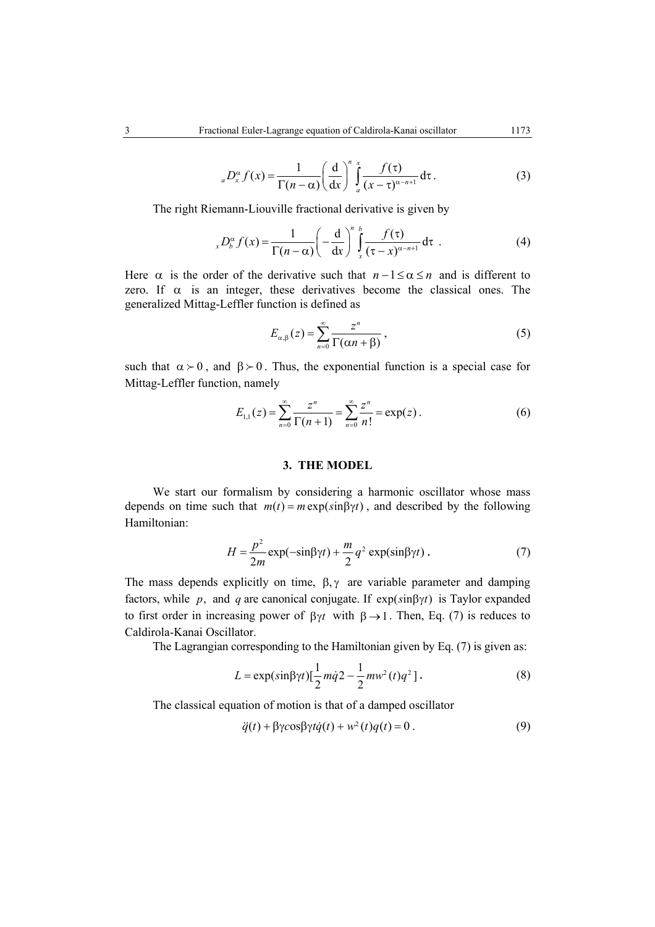$$
{}_{a}D_{x}^{\alpha}f(x) = \frac{1}{\Gamma(n-\alpha)} \left(\frac{d}{dx}\right)^{n} \int_{a}^{x} \frac{f(\tau)}{(x-\tau)^{\alpha-n+1}} d\tau.
$$
 (3)

The right Riemann-Liouville fractional derivative is given by

$$
{}_{x}D_{b}^{\alpha} f(x) = \frac{1}{\Gamma(n-\alpha)} \left(-\frac{d}{dx}\right)^{n} \int_{x}^{b} \frac{f(\tau)}{(\tau - x)^{\alpha - n + 1}} d\tau \tag{4}
$$

Here  $\alpha$  is the order of the derivative such that  $n-1 \leq \alpha \leq n$  and is different to zero. If  $\alpha$  is an integer, these derivatives become the classical ones. The generalized Mittag-Leffler function is defined as

$$
E_{\alpha,\beta}(z) = \sum_{n=0}^{\infty} \frac{z^n}{\Gamma(\alpha n + \beta)},
$$
\n(5)

such that  $\alpha > 0$ , and  $\beta > 0$ . Thus, the exponential function is a special case for Mittag-Leffler function, namely

$$
E_{1,1}(z) = \sum_{n=0}^{\infty} \frac{z^n}{\Gamma(n+1)} = \sum_{n=0}^{\infty} \frac{z^n}{n!} = \exp(z).
$$
 (6)

## **3. THE MODEL**

We start our formalism by considering a harmonic oscillator whose mass depends on time such that  $m(t) = m \exp(\sin \beta \gamma t)$ , and described by the following Hamiltonian:

$$
H = \frac{p^2}{2m} \exp(-\sin\beta\gamma t) + \frac{m}{2}q^2 \exp(\sin\beta\gamma t) \,. \tag{7}
$$

The mass depends explicitly on time,  $\beta$ ,  $\gamma$  are variable parameter and damping factors, while *p*, and *q* are canonical conjugate. If  $exp(sin \beta \gamma t)$  is Taylor expanded to first order in increasing power of  $\beta\gamma t$  with  $\beta \rightarrow 1$ . Then, Eq. (7) is reduces to Caldirola-Kanai Oscillator.

The Lagrangian corresponding to the Hamiltonian given by Eq. (7) is given as:

$$
L = \exp(\sin\beta \gamma t) \left[\frac{1}{2}m\dot{q}^2 - \frac{1}{2}mv^2(t)q^2\right].
$$
 (8)

The classical equation of motion is that of a damped oscillator

$$
\ddot{q}(t) + \beta \gamma \cos \beta \gamma t \dot{q}(t) + w^2(t)q(t) = 0.
$$
 (9)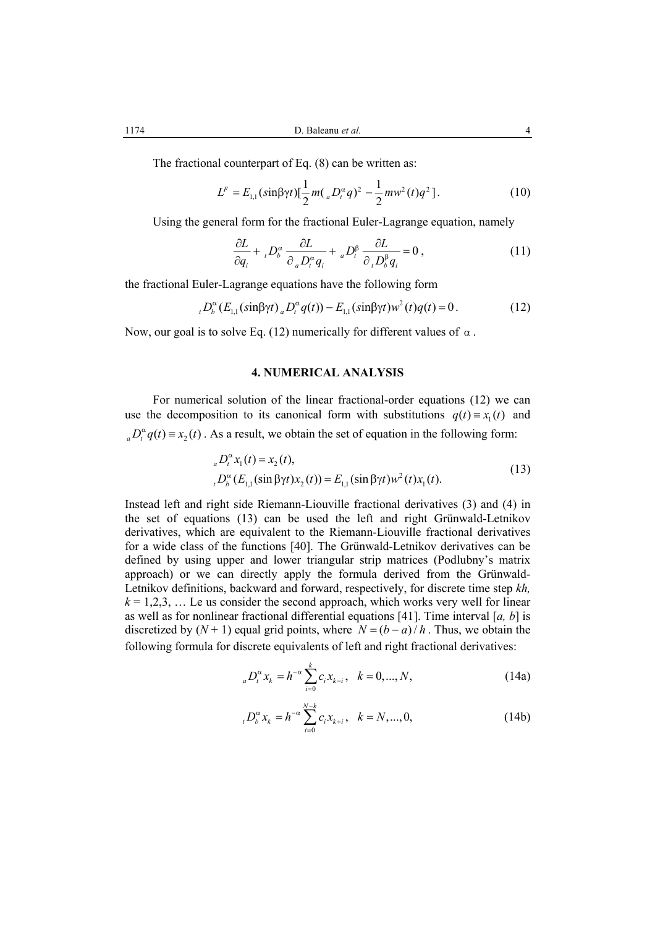The fractional counterpart of Eq. (8) can be written as:

$$
L^{F} = E_{1,1}(\sin \beta \gamma t) \left[ \frac{1}{2} m\left(\, _{a}D_{t}^{\alpha}q\right)^{2} - \frac{1}{2} m w^{2}(t)q^{2} \right]. \tag{10}
$$

Using the general form for the fractional Euler-Lagrange equation, namely

$$
\frac{\partial L}{\partial q_i} + {}_{i}D_b^{\alpha} \frac{\partial L}{\partial {}_{a}D_i^{\alpha}q_i} + {}_{a}D_i^{\beta} \frac{\partial L}{\partial {}_{i}D_b^{\beta}q_i} = 0 ,
$$
\n(11)

the fractional Euler-Lagrange equations have the following form

$$
{}_{t}D_{b}^{\alpha}(E_{1,1}(\sin \beta \gamma t)) {}_{a}D_{t}^{\alpha}q(t)) - E_{1,1}(\sin \beta \gamma t)w^{2}(t)q(t) = 0.
$$
 (12)

Now, our goal is to solve Eq. (12) numerically for different values of  $\alpha$ .

## **4. NUMERICAL ANALYSIS**

For numerical solution of the linear fractional-order equations (12) we can use the decomposition to its canonical form with substitutions  $q(t) = x<sub>1</sub>(t)$  and  $_{a}D_{t}^{\alpha}q(t) \equiv x_{2}(t)$ . As a result, we obtain the set of equation in the following form:

$$
{}_{a}D_{t}^{\alpha}x_{1}(t) = x_{2}(t),
$$
  
\n
$$
{}_{t}D_{b}^{\alpha}(E_{1,1}(\sin \beta \gamma t)x_{2}(t)) = E_{1,1}(\sin \beta \gamma t)w^{2}(t)x_{1}(t).
$$
\n(13)

Instead left and right side Riemann-Liouville fractional derivatives (3) and (4) in the set of equations (13) can be used the left and right Grünwald-Letnikov derivatives, which are equivalent to the Riemann-Liouville fractional derivatives for a wide class of the functions [40]. The Grünwald-Letnikov derivatives can be defined by using upper and lower triangular strip matrices (Podlubny's matrix approach) or we can directly apply the formula derived from the Grünwald-Letnikov definitions, backward and forward, respectively, for discrete time step *kh,*   $k = 1,2,3, \ldots$  Le us consider the second approach, which works very well for linear as well as for nonlinear fractional differential equations [41]. Time interval [*a, b*] is discretized by  $(N + 1)$  equal grid points, where  $N = (b - a)/h$ . Thus, we obtain the following formula for discrete equivalents of left and right fractional derivatives:

$$
{}_{a}D_{t}^{\alpha}x_{k} = h^{-\alpha} \sum_{i=0}^{k} c_{i}x_{k-i}, \quad k = 0, ..., N,
$$
 (14a)

$$
{}_{i}D_{b}^{\alpha}x_{k} = h^{-\alpha} \sum_{i=0}^{N-k} c_{i}x_{k+i}, \quad k = N, ..., 0,
$$
 (14b)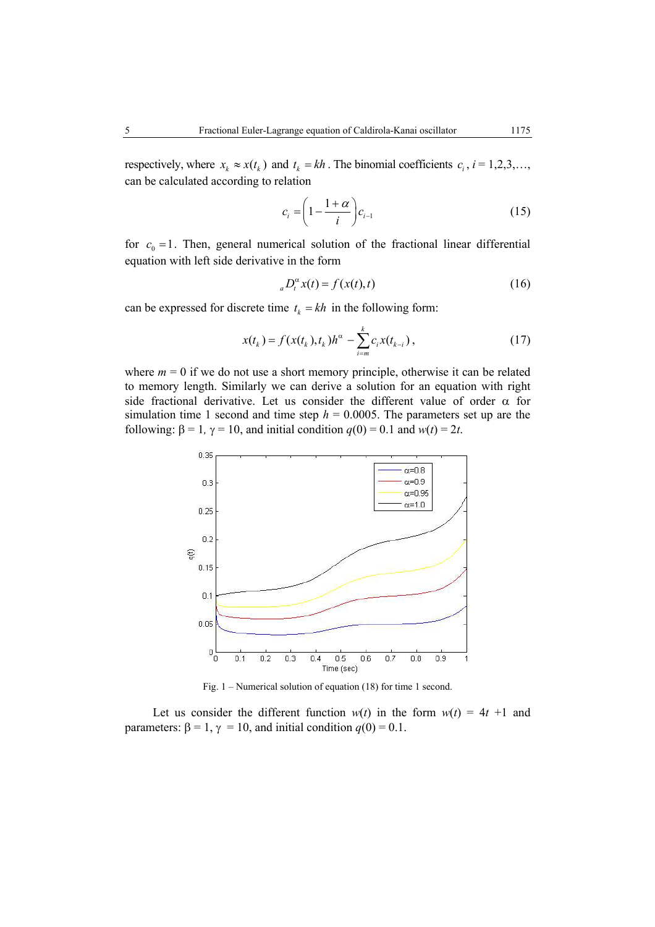respectively, where  $x_k \approx x(t_k)$  and  $t_k = kh$ . The binomial coefficients  $c_i$ ,  $i = 1,2,3,...$ , can be calculated according to relation

$$
c_i = \left(1 - \frac{1 + \alpha}{i}\right) c_{i-1} \tag{15}
$$

for  $c_0 = 1$ . Then, general numerical solution of the fractional linear differential equation with left side derivative in the form

$$
{}_{a}D_{t}^{\alpha}x(t) = f(x(t),t)
$$
\n(16)

can be expressed for discrete time  $t_k = kh$  in the following form:

$$
x(t_k) = f(x(t_k), t_k)h^{\alpha} - \sum_{i=m}^{k} c_i x(t_{k-i}),
$$
\n(17)

where  $m = 0$  if we do not use a short memory principle, otherwise it can be related to memory length. Similarly we can derive a solution for an equation with right side fractional derivative. Let us consider the different value of order  $\alpha$  for simulation time 1 second and time step  $h = 0.0005$ . The parameters set up are the following:  $\beta = 1$ ,  $\gamma = 10$ , and initial condition  $q(0) = 0.1$  and  $w(t) = 2t$ .



Fig. 1 – Numerical solution of equation (18) for time 1 second.

Let us consider the different function  $w(t)$  in the form  $w(t) = 4t + 1$  and parameters:  $\beta = 1$ ,  $\gamma = 10$ , and initial condition  $q(0) = 0.1$ .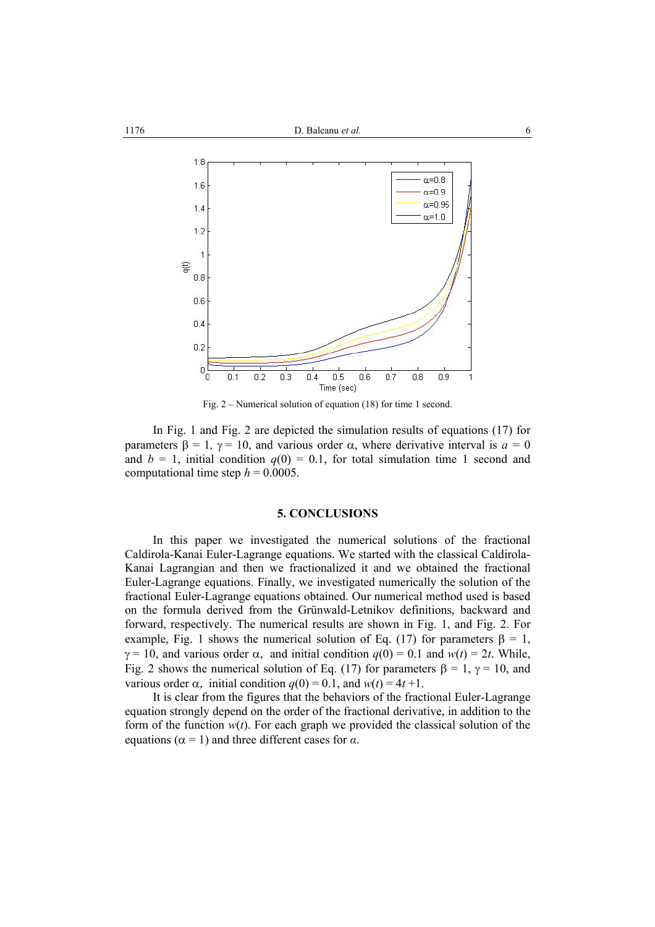

Fig. 2 – Numerical solution of equation (18) for time 1 second.

In Fig. 1 and Fig. 2 are depicted the simulation results of equations (17) for parameters  $\beta = 1$ ,  $\gamma = 10$ , and various order  $\alpha$ , where derivative interval is  $a = 0$ and  $b = 1$ , initial condition  $q(0) = 0.1$ , for total simulation time 1 second and computational time step  $h = 0.0005$ .

### **5. CONCLUSIONS**

In this paper we investigated the numerical solutions of the fractional Caldirola-Kanai Euler-Lagrange equations. We started with the classical Caldirola-Kanai Lagrangian and then we fractionalized it and we obtained the fractional Euler-Lagrange equations. Finally, we investigated numerically the solution of the fractional Euler-Lagrange equations obtained. Our numerical method used is based on the formula derived from the Grünwald-Letnikov definitions, backward and forward, respectively. The numerical results are shown in Fig. 1, and Fig. 2. For example, Fig. 1 shows the numerical solution of Eq. (17) for parameters  $\beta = 1$ ,  $\gamma = 10$ , and various order  $\alpha$ , and initial condition  $q(0) = 0.1$  and  $w(t) = 2t$ . While, Fig. 2 shows the numerical solution of Eq. (17) for parameters  $\beta = 1$ ,  $\gamma = 10$ , and various order  $\alpha$ , initial condition  $q(0) = 0.1$ , and  $w(t) = 4t + 1$ .

It is clear from the figures that the behaviors of the fractional Euler-Lagrange equation strongly depend on the order of the fractional derivative, in addition to the form of the function  $w(t)$ . For each graph we provided the classical solution of the equations ( $\alpha$  = 1) and three different cases for  $\alpha$ .